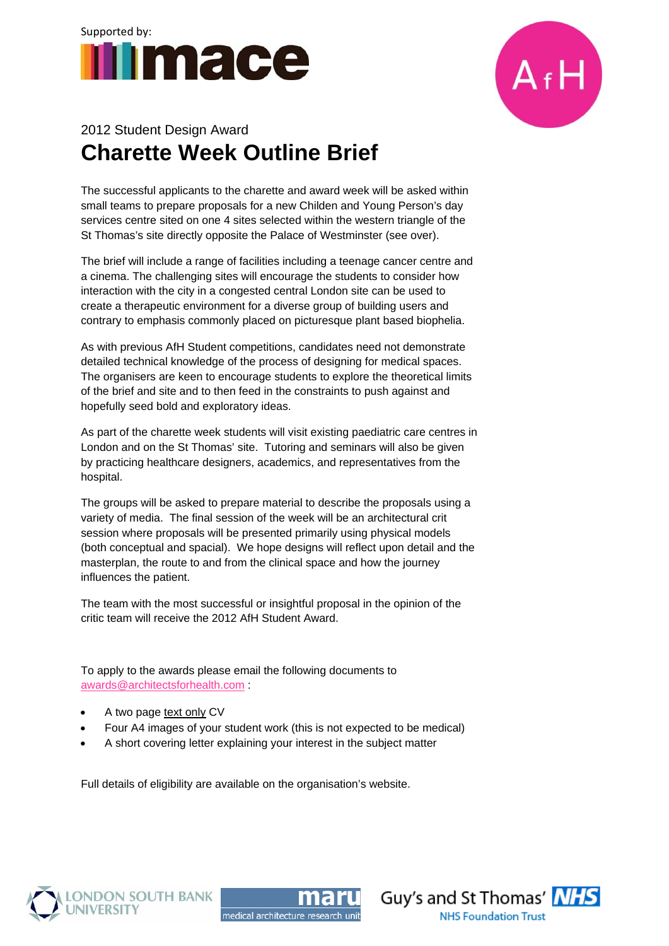



## 2012 Student Design Award **Charette Week Outline Brief**

The successful applicants to the charette and award week will be asked within small teams to prepare proposals for a new Childen and Young Person's day services centre sited on one 4 sites selected within the western triangle of the St Thomas's site directly opposite the Palace of Westminster (see over).

The brief will include a range of facilities including a teenage cancer centre and a cinema. The challenging sites will encourage the students to consider how interaction with the city in a congested central London site can be used to create a therapeutic environment for a diverse group of building users and contrary to emphasis commonly placed on picturesque plant based biophelia.

As with previous AfH Student competitions, candidates need not demonstrate detailed technical knowledge of the process of designing for medical spaces. The organisers are keen to encourage students to explore the theoretical limits of the brief and site and to then feed in the constraints to push against and hopefully seed bold and exploratory ideas.

As part of the charette week students will visit existing paediatric care centres in London and on the St Thomas' site. Tutoring and seminars will also be given by practicing healthcare designers, academics, and representatives from the hospital.

The groups will be asked to prepare material to describe the proposals using a variety of media. The final session of the week will be an architectural crit session where proposals will be presented primarily using physical models (both conceptual and spacial). We hope designs will reflect upon detail and the masterplan, the route to and from the clinical space and how the journey influences the patient.

The team with the most successful or insightful proposal in the opinion of the critic team will receive the 2012 AfH Student Award.

To apply to the awards please email the following documents to awards@architectsforhealth.com :

- A two page text only CV
- Four A4 images of your student work (this is not expected to be medical)
- A short covering letter explaining your interest in the subject matter

Full details of eligibility are available on the organisation's website.